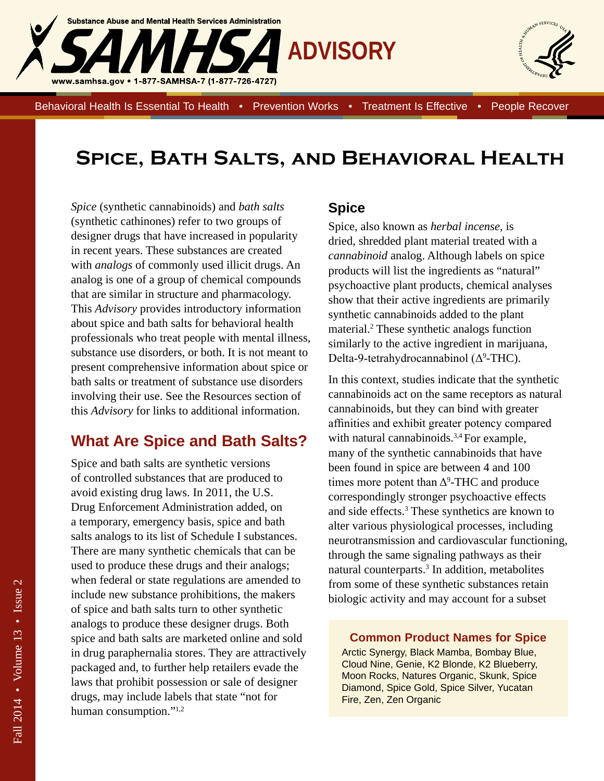



Behavioral Health Is Essential To Health • Prevention Works • Treatment Is Effective • People Recover

# **Spice, Bath Salts, and Behavioral Health**

*Spice* (synthetic cannabinoids) and *bath salts* (synthetic cathinones) refer to two groups of designer drugs that have increased in popularity in recent years. These substances are created with *analogs* of commonly used illicit drugs. An analog is one of a group of chemical compounds that are similar in structure and pharmacology. This *Advisory* provides introductory information about spice and bath salts for behavioral health professionals who treat people with mental illness, substance use disorders, or both. It is not meant to present comprehensive information about spice or bath salts or treatment of substance use disorders involving their use. See the Resources section of this *Advisory* for links to additional information.

### **What Are Spice and Bath Salts?**

Spice and bath salts are synthetic versions of controlled substances that are produced to avoid existing drug laws. In 2011, the U.S. Drug Enforcement Administration added, on a temporary, emergency basis, spice and bath salts analogs to its list of Schedule I substances. There are many synthetic chemicals that can be used to produce these drugs and their analogs; when federal or state regulations are amended to include new substance prohibitions, the makers of spice and bath salts turn to other synthetic analogs to produce these designer drugs. Both spice and bath salts are marketed online and sold in drug paraphernalia stores. They are attractively packaged and, to further help retailers evade the laws that prohibit possession or sale of designer drugs, may include labels that state "not for human consumption."<sup>1,2</sup>

#### **Spice**

Spice, also known as *herbal incense*, is dried, shredded plant material treated with a *cannabinoid* analog. Although labels on spice products will list the ingredients as "natural" psychoactive plant products, chemical analyses show that their active ingredients are primarily synthetic cannabinoids added to the plant material.2 These synthetic analogs function similarly to the active ingredient in marijuana, Delta-9-tetrahydrocannabinol (Δ<sup>9</sup>-THC).

In this context, studies indicate that the synthetic cannabinoids act on the same receptors as natural cannabinoids, but they can bind with greater affinities and exhibit greater potency compared with natural cannabinoids.<sup>3,4</sup> For example, many of the synthetic cannabinoids that have been found in spice are between 4 and 100 times more potent than  $\Delta^9$ -THC and produce correspondingly stronger psychoactive effects and side effects.3 These synthetics are known to alter various physiological processes, including neurotransmission and cardiovascular functioning, through the same signaling pathways as their natural counterparts.3 In addition, metabolites from some of these synthetic substances retain biologic activity and may account for a subset

#### **Common Product Names for Spice**

Arctic Synergy, Black Mamba, Bombay Blue, Cloud Nine, Genie, K2 Blonde, K2 Blueberry, Moon Rocks, Natures Organic, Skunk, Spice Diamond, Spice Gold, Spice Silver, Yucatan Fire, Zen, Zen Organic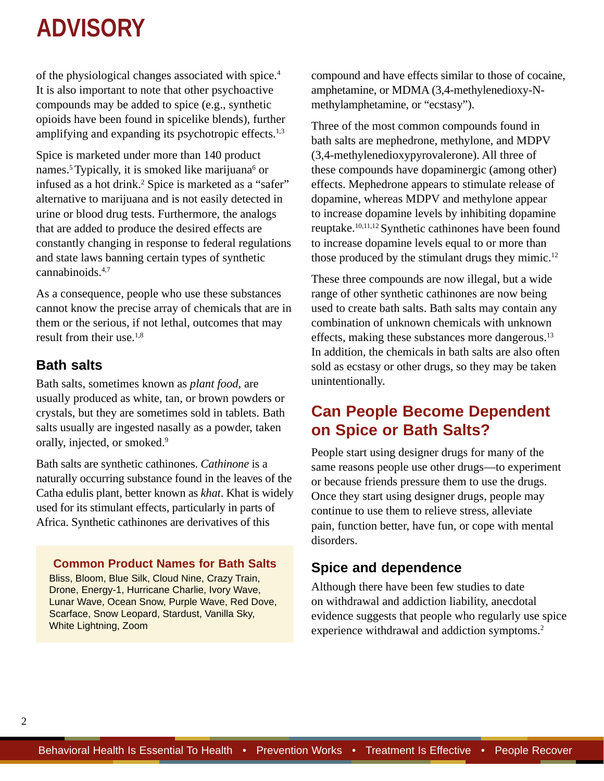of the physiological changes associated with spice.4 It is also important to note that other psychoactive compounds may be added to spice (e.g., synthetic opioids have been found in spicelike blends), further amplifying and expanding its psychotropic effects.<sup>1,3</sup>

Spice is marketed under more than 140 product names.<sup>5</sup> Typically, it is smoked like marijuana<sup>6</sup> or infused as a hot drink.<sup>2</sup> Spice is marketed as a "safer" alternative to marijuana and is not easily detected in urine or blood drug tests. Furthermore, the analogs that are added to produce the desired effects are constantly changing in response to federal regulations and state laws banning certain types of synthetic cannabinoids.4,7

As a consequence, people who use these substances cannot know the precise array of chemicals that are in them or the serious, if not lethal, outcomes that may result from their use.1,8

#### **Bath salts**

Bath salts, sometimes known as *plant food*, are usually produced as white, tan, or brown powders or crystals, but they are sometimes sold in tablets. Bath salts usually are ingested nasally as a powder, taken orally, injected, or smoked.<sup>9</sup>

Bath salts are synthetic cathinones. *Cathinone* is a naturally occurring substance found in the leaves of the Catha edulis plant, better known as *khat*. Khat is widely used for its stimulant effects, particularly in parts of Africa. Synthetic cathinones are derivatives of this

#### **Common Product Names for Bath Salts**

Bliss, Bloom, Blue Silk, Cloud Nine, Crazy Train, Drone, Energy-1, Hurricane Charlie, Ivory Wave, Lunar Wave, Ocean Snow, Purple Wave, Red Dove, Scarface, Snow Leopard, Stardust, Vanilla Sky, White Lightning, Zoom

compound and have effects similar to those of cocaine, amphetamine, or MDMA (3,4-methylenedioxy-Nmethylamphetamine, or "ecstasy").

Three of the most common compounds found in bath salts are mephedrone, methylone, and MDPV (3,4-methylenedioxypyrovalerone). All three of these compounds have dopaminergic (among other) effects. Mephedrone appears to stimulate release of dopamine, whereas MDPV and methylone appear to increase dopamine levels by inhibiting dopamine reuptake.10,11,12 Synthetic cathinones have been found to increase dopamine levels equal to or more than those produced by the stimulant drugs they mimic.12

These three compounds are now illegal, but a wide range of other synthetic cathinones are now being used to create bath salts. Bath salts may contain any combination of unknown chemicals with unknown effects, making these substances more dangerous.13 In addition, the chemicals in bath salts are also often sold as ecstasy or other drugs, so they may be taken unintentionally.

### **Can People Become Dependent on Spice or Bath Salts?**

People start using designer drugs for many of the same reasons people use other drugs—to experiment or because friends pressure them to use the drugs. Once they start using designer drugs, people may continue to use them to relieve stress, alleviate pain, function better, have fun, or cope with mental disorders.

#### **Spice and dependence**

Although there have been few studies to date on withdrawal and addiction liability, anecdotal evidence suggests that people who regularly use spice experience withdrawal and addiction symptoms.<sup>2</sup>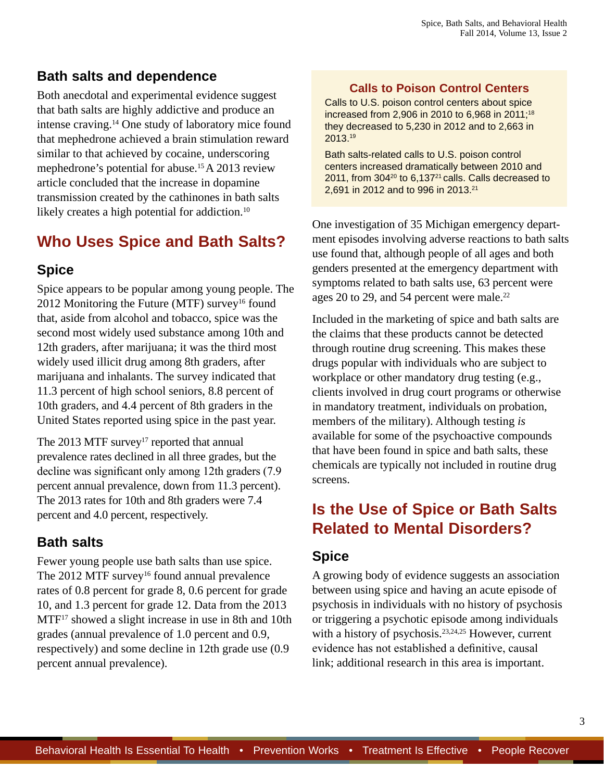#### **Bath salts and dependence**

Both anecdotal and experimental evidence suggest that bath salts are highly addictive and produce an intense craving.14 One study of laboratory mice found that mephedrone achieved a brain stimulation reward similar to that achieved by cocaine, underscoring mephedrone's potential for abuse.15 A 2013 review article concluded that the increase in dopamine transmission created by the cathinones in bath salts likely creates a high potential for addiction.<sup>10</sup>

# **Who Uses Spice and Bath Salts?**

#### **Spice**

Spice appears to be popular among young people. The 2012 Monitoring the Future (MTF) survey<sup>16</sup> found that, aside from alcohol and tobacco, spice was the second most widely used substance among 10th and 12th graders, after marijuana; it was the third most widely used illicit drug among 8th graders, after marijuana and inhalants. The survey indicated that 11.3 percent of high school seniors, 8.8 percent of 10th graders, and 4.4 percent of 8th graders in the United States reported using spice in the past year.

The 2013 MTF survey<sup>17</sup> reported that annual prevalence rates declined in all three grades, but the decline was significant only among 12th graders (7.9) percent annual prevalence, down from 11.3 percent). The 2013 rates for 10th and 8th graders were 7.4 percent and 4.0 percent, respectively.

#### **Bath salts**

Fewer young people use bath salts than use spice. The 2012 MTF survey<sup>16</sup> found annual prevalence rates of 0.8 percent for grade 8, 0.6 percent for grade 10, and 1.3 percent for grade 12. Data from the 2013 MTF<sup>17</sup> showed a slight increase in use in 8th and 10th grades (annual prevalence of 1.0 percent and 0.9, respectively) and some decline in 12th grade use (0.9 percent annual prevalence).

#### **Calls to Poison Control Centers**

Calls to U.S. poison control centers about spice increased from 2,906 in 2010 to 6,968 in 2011;18 they decreased to 5,230 in 2012 and to 2,663 in 2013.19

Bath salts-related calls to U.S. poison control centers increased dramatically between 2010 and 2011, from 30420 to 6,13721 calls. Calls decreased to 2,691 in 2012 and to 996 in 2013.21

One investigation of 35 Michigan emergency department episodes involving adverse reactions to bath salts use found that, although people of all ages and both genders presented at the emergency department with symptoms related to bath salts use, 63 percent were ages 20 to 29, and 54 percent were male.<sup>22</sup>

Included in the marketing of spice and bath salts are the claims that these products cannot be detected through routine drug screening. This makes these drugs popular with individuals who are subject to workplace or other mandatory drug testing (e.g., clients involved in drug court programs or otherwise in mandatory treatment, individuals on probation, members of the military). Although testing *is* available for some of the psychoactive compounds that have been found in spice and bath salts, these chemicals are typically not included in routine drug screens.

## **Is the Use of Spice or Bath Salts Related to Mental Disorders?**

#### **Spice**

A growing body of evidence suggests an association between using spice and having an acute episode of psychosis in individuals with no history of psychosis or triggering a psychotic episode among individuals with a history of psychosis.<sup>23,24,25</sup> However, current evidence has not established a definitive, causal link; additional research in this area is important.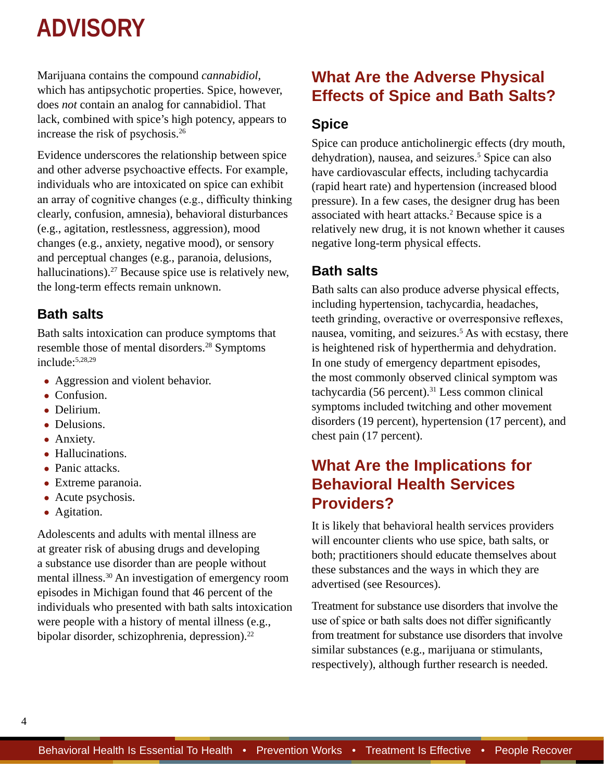Marijuana contains the compound *cannabidiol*, which has antipsychotic properties. Spice, however, does *not* contain an analog for cannabidiol. That lack, combined with spice's high potency, appears to increase the risk of psychosis.26

Evidence underscores the relationship between spice and other adverse psychoactive effects. For example, individuals who are intoxicated on spice can exhibit an array of cognitive changes (e.g., difficulty thinking clearly, confusion, amnesia), behavioral disturbances (e.g., agitation, restlessness, aggression), mood changes (e.g., anxiety, negative mood), or sensory and perceptual changes (e.g., paranoia, delusions, hallucinations).<sup>27</sup> Because spice use is relatively new, the long-term effects remain unknown.

#### **Bath salts**

Bath salts intoxication can produce symptoms that resemble those of mental disorders.28 Symptoms include:5,28,29

- Aggression and violent behavior.
- Confusion.
- Delirium
- Delusions.
- Anxiety.
- Hallucinations.
- Panic attacks.
- Extreme paranoia.
- Acute psychosis.
- Agitation.

Adolescents and adults with mental illness are at greater risk of abusing drugs and developing a substance use disorder than are people without mental illness.30 An investigation of emergency room episodes in Michigan found that 46 percent of the individuals who presented with bath salts intoxication were people with a history of mental illness (e.g., bipolar disorder, schizophrenia, depression).<sup>22</sup>

## **What Are the Adverse Physical Effects of Spice and Bath Salts?**

#### **Spice**

Spice can produce anticholinergic effects (dry mouth, dehydration), nausea, and seizures.<sup>5</sup> Spice can also have cardiovascular effects, including tachycardia (rapid heart rate) and hypertension (increased blood pressure). In a few cases, the designer drug has been associated with heart attacks.<sup>2</sup> Because spice is a relatively new drug, it is not known whether it causes negative long-term physical effects.

#### **Bath salts**

Bath salts can also produce adverse physical effects, including hypertension, tachycardia, headaches, teeth grinding, overactive or overresponsive reflexes, nausea, vomiting, and seizures.<sup>5</sup> As with ecstasy, there is heightened risk of hyperthermia and dehydration. In one study of emergency department episodes, the most commonly observed clinical symptom was tachycardia (56 percent).<sup>31</sup> Less common clinical symptoms included twitching and other movement disorders (19 percent), hypertension (17 percent), and chest pain (17 percent).

### **What Are the Implications for Behavioral Health Services Providers?**

It is likely that behavioral health services providers will encounter clients who use spice, bath salts, or both; practitioners should educate themselves about these substances and the ways in which they are advertised (see Resources).

Treatment for substance use disorders that involve the use of spice or bath salts does not differ significantly from treatment for substance use disorders that involve similar substances (e.g., marijuana or stimulants, respectively), although further research is needed.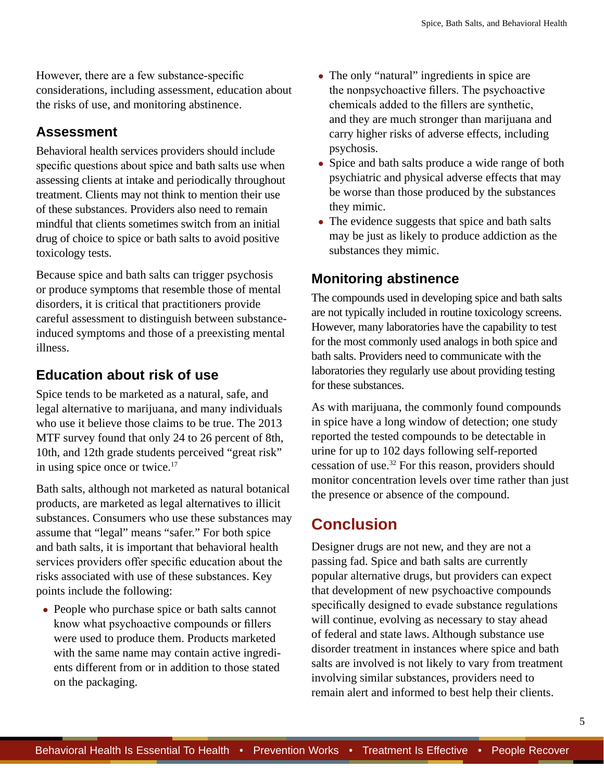However, there are a few substance-specific considerations, including assessment, education about the risks of use, and monitoring abstinence.

#### **Assessment**

Behavioral health services providers should include specific questions about spice and bath salts use when assessing clients at intake and periodically throughout treatment. Clients may not think to mention their use of these substances. Providers also need to remain mindful that clients sometimes switch from an initial drug of choice to spice or bath salts to avoid positive toxicology tests.

Because spice and bath salts can trigger psychosis or produce symptoms that resemble those of mental disorders, it is critical that practitioners provide careful assessment to distinguish between substanceinduced symptoms and those of a preexisting mental illness.

#### **Education about risk of use**

Spice tends to be marketed as a natural, safe, and legal alternative to marijuana, and many individuals who use it believe those claims to be true. The 2013 MTF survey found that only 24 to 26 percent of 8th, 10th, and 12th grade students perceived "great risk" in using spice once or twice.17

Bath salts, although not marketed as natural botanical products, are marketed as legal alternatives to illicit substances. Consumers who use these substances may assume that "legal" means "safer." For both spice and bath salts, it is important that behavioral health services providers offer specific education about the risks associated with use of these substances. Key points include the following:

• People who purchase spice or bath salts cannot know what psychoactive compounds or fillers were used to produce them. Products marketed with the same name may contain active ingredients different from or in addition to those stated on the packaging.

- The only "natural" ingredients in spice are the nonpsychoactive fillers. The psychoactive chemicals added to the fillers are synthetic, and they are much stronger than marijuana and carry higher risks of adverse effects, including psychosis.
- Spice and bath salts produce a wide range of both psychiatric and physical adverse effects that may be worse than those produced by the substances they mimic.
- The evidence suggests that spice and bath salts may be just as likely to produce addiction as the substances they mimic.

### **Monitoring abstinence**

The compounds used in developing spice and bath salts are not typically included in routine toxicology screens. However, many laboratories have the capability to test for the most commonly used analogs in both spice and bath salts. Providers need to communicate with the laboratories they regularly use about providing testing for these substances.

As with marijuana, the commonly found compounds in spice have a long window of detection; one study reported the tested compounds to be detectable in urine for up to 102 days following self-reported cessation of use.32 For this reason, providers should monitor concentration levels over time rather than just the presence or absence of the compound.

## **Conclusion**

Designer drugs are not new, and they are not a passing fad. Spice and bath salts are currently popular alternative drugs, but providers can expect that development of new psychoactive compounds specifically designed to evade substance regulations will continue, evolving as necessary to stay ahead of federal and state laws. Although substance use disorder treatment in instances where spice and bath salts are involved is not likely to vary from treatment involving similar substances, providers need to remain alert and informed to best help their clients.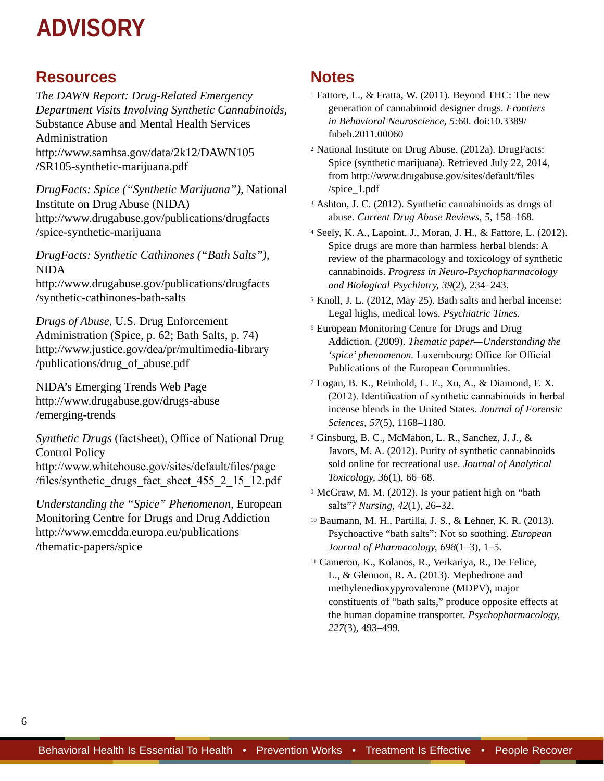#### **Resources**

*The DAWN Report: Drug-Related Emergency Department Visits Involving Synthetic Cannabinoids,* Substance Abuse and Mental Health Services Administration [http://www.samhsa.gov/data/2k12/DAWN105](http://www.samhsa.gov/data/2k12/DAWN105/SR105-synthetic-marijuana.pdf) [/SR105-synthetic-marijuana.pdf](http://www.samhsa.gov/data/2k12/DAWN105/SR105-synthetic-marijuana.pdf)

*DrugFacts: Spice ("Synthetic Marijuana"),* National Institute on Drug Abuse (NIDA) [http://www.drugabuse.gov/publications/drugfacts](http://www.drugabuse.gov/publications/drugfacts/spice-synthetic-marijuana) [/spice-synthetic-marijuana](http://www.drugabuse.gov/publications/drugfacts/spice-synthetic-marijuana)

*DrugFacts: Synthetic Cathinones ("Bath Salts"),* NIDA [http://www.drugabuse.gov/publications/drugfacts](http://www.drugabuse.gov/publications/drugfacts/synthetic-cathinones-bath-salts) [/synthetic-cathinones-bath-salts](http://www.drugabuse.gov/publications/drugfacts/synthetic-cathinones-bath-salts)

*Drugs of Abuse,* U.S. Drug Enforcement Administration (Spice, p. 62; Bath Salts, p. 74) [http://www.justice.gov/dea/pr/multimedia-library](http://www.justice.gov/dea/pr/multimedia-library/publications/drug_of_abuse.pdf) [/publications/drug\\_of\\_abuse.pdf](http://www.justice.gov/dea/pr/multimedia-library/publications/drug_of_abuse.pdf)

NIDA's Emerging Trends Web Page [http://www.drugabuse.gov/drugs-abuse](http://www.drugabuse.gov/drugs-abuse/emerging-trends) [/emerging-trends](http://www.drugabuse.gov/drugs-abuse/emerging-trends)

*Synthetic Drugs* (factsheet), Office of National Drug Control Policy [http://www.whitehouse.gov/sites/default/files/page](http://www.whitehouse.gov/sites/default/files/page/files/synthetic_drugs_fact_sheet_455_2_15_12.pdf) [/files/synthetic\\_drugs\\_fact\\_sheet\\_455\\_2\\_15\\_12.pdf](http://www.whitehouse.gov/sites/default/files/page/files/synthetic_drugs_fact_sheet_455_2_15_12.pdf)

*Understanding the "Spice" Phenomenon,* European Monitoring Centre for Drugs and Drug Addiction [http://www.emcdda.europa.eu/publications](http://www.emcdda.europa.eu/publications/thematic-papers/spice) [/thematic-papers/spice](http://www.emcdda.europa.eu/publications/thematic-papers/spice)

#### **Notes**

- <sup>1</sup> Fattore, L., & Fratta, W. (2011). Beyond THC: The new generation of cannabinoid designer drugs. *Frontiers in Behavioral Neuroscience, 5:*60. doi:10.3389/ fnbeh.2011.00060
- <sup>2</sup> National Institute on Drug Abuse. (2012a). DrugFacts: Spice (synthetic marijuana). Retrieved July 22, 2014, from [http://www.drugabuse.gov/sites/default/files](http://www.drugabuse.gov/sites/default/files/spice_1.pdf) [/spice\\_1.pdf](http://www.drugabuse.gov/sites/default/files/spice_1.pdf)
- <sup>3</sup> Ashton, J. C. (2012). Synthetic cannabinoids as drugs of abuse. *Current Drug Abuse Reviews, 5,* 158–168.
- <sup>4</sup> Seely, K. A., Lapoint, J., Moran, J. H., & Fattore, L. (2012). Spice drugs are more than harmless herbal blends: A review of the pharmacology and toxicology of synthetic cannabinoids. *Progress in Neuro-Psychopharmacology and Biological Psychiatry, 39*(2), 234–243.
- <sup>5</sup> Knoll, J. L. (2012, May 25). Bath salts and herbal incense: Legal highs, medical lows. *Psychiatric Times.*
- <sup>6</sup> European Monitoring Centre for Drugs and Drug Addiction. (2009). *Thematic paper—Understanding the*  'spice' phenomenon. Luxembourg: Office for Official Publications of the European Communities.
- <sup>7</sup> Logan, B. K., Reinhold, L. E., Xu, A., & Diamond, F. X. (2012). Identification of synthetic cannabinoids in herbal incense blends in the United States. *Journal of Forensic Sciences, 57*(5), 1168–1180.
- <sup>8</sup> Ginsburg, B. C., McMahon, L. R., Sanchez, J. J., & Javors, M. A. (2012). Purity of synthetic cannabinoids sold online for recreational use. *Journal of Analytical Toxicology, 36*(1), 66–68.
- <sup>9</sup> McGraw, M. M. (2012). Is your patient high on "bath salts"? *Nursing, 42*(1), 26–32.
- <sup>10</sup> Baumann, M. H., Partilla, J. S., & Lehner, K. R. (2013). Psychoactive "bath salts": Not so soothing. *European Journal of Pharmacology, 698*(1–3), 1–5.
- <sup>11</sup> Cameron, K., Kolanos, R., Verkariya, R., De Felice, L., & Glennon, R. A. (2013). Mephedrone and methylenedioxypyrovalerone (MDPV), major constituents of "bath salts," produce opposite effects at the human dopamine transporter. *Psychopharmacology, 227*(3), 493–499.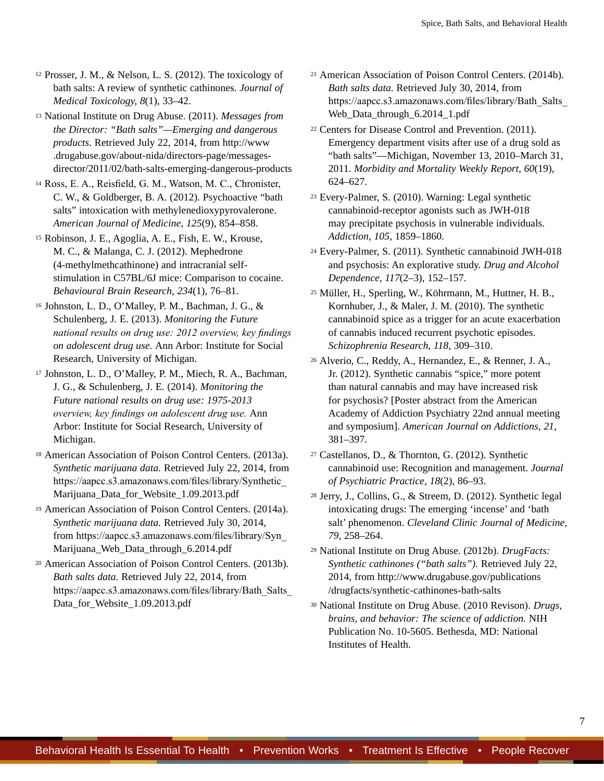<sup>12</sup> Prosser, J. M., & Nelson, L. S. (2012). The toxicology of bath salts: A review of synthetic cathinones. *Journal of Medical Toxicology, 8*(1), 33–42.

<sup>13</sup> National Institute on Drug Abuse. (2011). *Messages from the Director: "Bath salts"—Emerging and dangerous products.* Retrieved July 22, 2014, from [http://www](http://www.drugabuse.gov/about-nida/directors-page/messages-director/2011/02/bath-salts-emerging-dangerous-products) [.drugabuse.gov/about-nida/directors-page/messages](http://www.drugabuse.gov/about-nida/directors-page/messages-director/2011/02/bath-salts-emerging-dangerous-products)[director/2011/02/bath-salts-emerging-dangerous-products](http://www.drugabuse.gov/about-nida/directors-page/messages-director/2011/02/bath-salts-emerging-dangerous-products)

<sup>14</sup> Ross, E. A., Reisfield, G. M., Watson, M. C., Chronister, C. W., & Goldberger, B. A. (2012). Psychoactive "bath salts" intoxication with methylenedioxypyrovalerone. *American Journal of Medicine, 125*(9), 854–858.

<sup>15</sup> Robinson, J. E., Agoglia, A. E., Fish, E. W., Krouse, M. C., & Malanga, C. J. (2012). Mephedrone (4-methylmethcathinone) and intracranial selfstimulation in C57BL/6J mice: Comparison to cocaine. *Behavioural Brain Research, 234*(1), 76–81.

<sup>16</sup> Johnston, L. D., O'Malley, P. M., Bachman, J. G., & Schulenberg, J. E. (2013). *Monitoring the Future national results on drug use: 2012 overview, key findings on adolescent drug use.* Ann Arbor: Institute for Social Research, University of Michigan.

<sup>17</sup> Johnston, L. D., O'Malley, P. M., Miech, R. A., Bachman, J. G., & Schulenberg, J. E. (2014). *Monitoring the Future national results on drug use: 1975-2013 overview, key findings on adolescent drug use.* Ann Arbor: Institute for Social Research, University of Michigan.

<sup>18</sup> American Association of Poison Control Centers. (2013a). *Synthetic marijuana data.* Retrieved July 22, 2014, from [https://aapcc.s3.amazonaws.com/files/library/Synthetic\\_](https://aapcc.s3.amazonaws.com/files/library/Synthetic_Marijuana_Data_for_Website_1.09.2013.pdf) [Marijuana\\_Data\\_for\\_Website\\_1.09.2013.pdf](https://aapcc.s3.amazonaws.com/files/library/Synthetic_Marijuana_Data_for_Website_1.09.2013.pdf)

<sup>19</sup> American Association of Poison Control Centers. (2014a). *Synthetic marijuana data.* Retrieved July 30, 2014, from [https://aapcc.s3.amazonaws.com/files/library/Syn\\_](https://aapcc.s3.amazonaws.com/files/library/Syn_Marijuana_Web_Data_through_6.2014.pdf) [Marijuana\\_Web\\_Data\\_through\\_6.2014.pdf](https://aapcc.s3.amazonaws.com/files/library/Syn_Marijuana_Web_Data_through_6.2014.pdf)

<sup>20</sup> American Association of Poison Control Centers. (2013b). *Bath salts data.* Retrieved July 22, 2014, from [https://aapcc.s3.amazonaws.com/files/library/Bath\\_Salts\\_](https://aapcc.s3.amazonaws.com/files/library/Bath_Salts_Data_for_Website_1.09.2013.pdf) [Data\\_for\\_Website\\_1.09.2013.pdf](https://aapcc.s3.amazonaws.com/files/library/Bath_Salts_Data_for_Website_1.09.2013.pdf)

<sup>21</sup> American Association of Poison Control Centers. (2014b). *Bath salts data.* Retrieved July 30, 2014, from [https://aapcc.s3.amazonaws.com/files/library/Bath\\_Salts\\_](https://aapcc.s3.amazonaws.com/files/library/Bath_Salts_Web_Data_through_6.2014_1.pdf) [Web\\_Data\\_through\\_6.2014\\_1.pdf](https://aapcc.s3.amazonaws.com/files/library/Bath_Salts_Web_Data_through_6.2014_1.pdf)

<sup>22</sup> Centers for Disease Control and Prevention. (2011). Emergency department visits after use of a drug sold as "bath salts"—Michigan, November 13, 2010–March 31, 2011. *Morbidity and Mortality Weekly Report, 60*(19), 624–627.

<sup>23</sup> Every-Palmer, S. (2010). Warning: Legal synthetic cannabinoid-receptor agonists such as JWH-018 may precipitate psychosis in vulnerable individuals. *Addiction, 105,* 1859–1860.

<sup>24</sup> Every-Palmer, S. (2011). Synthetic cannabinoid JWH-018 and psychosis: An explorative study. *Drug and Alcohol Dependence, 117*(2–3), 152–157.

<sup>25</sup> Müller, H., Sperling, W., Köhrmann, M., Huttner, H. B., Kornhuber, J., & Maler, J. M. (2010). The synthetic cannabinoid spice as a trigger for an acute exacerbation of cannabis induced recurrent psychotic episodes. *Schizophrenia Research, 118,* 309–310.

<sup>26</sup> Alverio, C., Reddy, A., Hernandez, E., & Renner, J. A., Jr. (2012). Synthetic cannabis "spice," more potent than natural cannabis and may have increased risk for psychosis? [Poster abstract from the American Academy of Addiction Psychiatry 22nd annual meeting and symposium]. *American Journal on Addictions, 21,* 381–397.

<sup>27</sup> Castellanos, D., & Thornton, G. (2012). Synthetic cannabinoid use: Recognition and management. *Journal of Psychiatric Practice, 18*(2), 86–93.

<sup>28</sup> Jerry, J., Collins, G., & Streem, D. (2012). Synthetic legal intoxicating drugs: The emerging 'incense' and 'bath salt' phenomenon. *Cleveland Clinic Journal of Medicine, 79,* 258–264.

<sup>29</sup> National Institute on Drug Abuse. (2012b). *DrugFacts: Synthetic cathinones ("bath salts").* Retrieved July 22, 2014, from [http://www.drugabuse.gov/publications](http://www.drugabuse.gov/publications/drugfacts/synthetic-cathinones-bath-salts) [/drugfacts/synthetic-cathinones-bath-salts](http://www.drugabuse.gov/publications/drugfacts/synthetic-cathinones-bath-salts)

<sup>30</sup> National Institute on Drug Abuse. (2010 Revison). *Drugs, brains, and behavior: The science of addiction.* NIH Publication No. 10-5605. Bethesda, MD: National Institutes of Health.